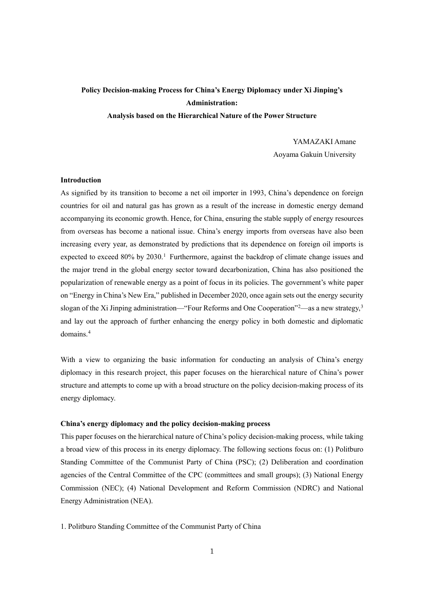# **Policy Decision-making Process for China's Energy Diplomacy under Xi Jinping's Administration: Analysis based on the Hierarchical Nature of the Power Structure**

YAMAZAKI Amane Aoyama Gakuin University

# **Introduction**

As signified by its transition to become a net oil importer in 1993, China's dependence on foreign countries for oil and natural gas has grown as a result of the increase in domestic energy demand accompanying its economic growth. Hence, for China, ensuring the stable supply of energy resources from overseas has become a national issue. China's energy imports from overseas have also been increasing every year, as demonstrated by predictions that its dependence on foreign oil imports is expected to exceed 80% by 2030.<sup>[1](#page-8-0)</sup> Furthermore, against the backdrop of climate change issues and the major trend in the global energy sector toward decarbonization, China has also positioned the popularization of renewable energy as a point of focus in its policies. The government's white paper on "Energy in China's New Era," published in December 2020, once again sets out the energy security slogan of the Xi Jinping administration—"Four Reforms and One Cooperation"<sup>[2](#page-8-1)</sup>—as a new strategy,<sup>[3](#page-8-2)</sup> and lay out the approach of further enhancing the energy policy in both domestic and diplomatic domains.[4](#page-8-3)

With a view to organizing the basic information for conducting an analysis of China's energy diplomacy in this research project, this paper focuses on the hierarchical nature of China's power structure and attempts to come up with a broad structure on the policy decision-making process of its energy diplomacy.

# **China's energy diplomacy and the policy decision-making process**

This paper focuses on the hierarchical nature of China's policy decision-making process, while taking a broad view of this process in its energy diplomacy. The following sections focus on: (1) Politburo Standing Committee of the Communist Party of China (PSC); (2) Deliberation and coordination agencies of the Central Committee of the CPC (committees and small groups); (3) National Energy Commission (NEC); (4) National Development and Reform Commission (NDRC) and National Energy Administration (NEA).

1. Politburo Standing Committee of the Communist Party of China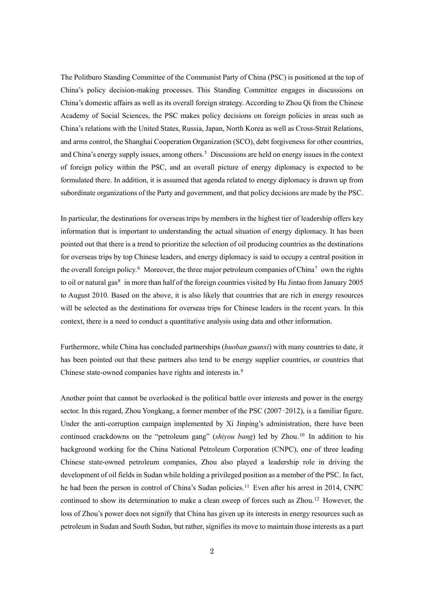The Politburo Standing Committee of the Communist Party of China (PSC) is positioned at the top of China's policy decision-making processes. This Standing Committee engages in discussions on China's domestic affairs as well as its overall foreign strategy. According to Zhou Qi from the Chinese Academy of Social Sciences, the PSC makes policy decisions on foreign policies in areas such as China's relations with the United States, Russia, Japan, North Korea as well as Cross-Strait Relations, and arms control, the Shanghai Cooperation Organization (SCO), debt forgiveness for other countries, and China's energy supply issues, among others.<sup>[5](#page-8-4)</sup> Discussions are held on energy issues in the context of foreign policy within the PSC, and an overall picture of energy diplomacy is expected to be formulated there. In addition, it is assumed that agenda related to energy diplomacy is drawn up from subordinate organizations of the Party and government, and that policy decisions are made by the PSC.

In particular, the destinations for overseas trips by members in the highest tier of leadership offers key information that is important to understanding the actual situation of energy diplomacy. It has been pointed out that there is a trend to prioritize the selection of oil producing countries as the destinations for overseas trips by top Chinese leaders, and energy diplomacy is said to occupy a central position in the overall foreign policy.<sup>[6](#page-8-5)</sup> Moreover, the three major petroleum companies of China<sup>[7](#page-8-6)</sup> own the rights to oil or natural gas $8$  in more than half of the foreign countries visited by Hu Jintao from January 2005 to August 2010. Based on the above, it is also likely that countries that are rich in energy resources will be selected as the destinations for overseas trips for Chinese leaders in the recent years. In this context, there is a need to conduct a quantitative analysis using data and other information.

Furthermore, while China has concluded partnerships (*huoban guanxi*) with many countries to date, it has been pointed out that these partners also tend to be energy supplier countries, or countries that Chinese state-owned companies have rights and interests in.<sup>[9](#page-8-8)</sup>

Another point that cannot be overlooked is the political battle over interests and power in the energy sector. In this regard, Zhou Yongkang, a former member of the PSC (2007–2012), is a familiar figure. Under the anti-corruption campaign implemented by Xi Jinping's administration, there have been continued crackdowns on the "petroleum gang" (*shiyou bang*) led by Zhou. [10](#page-8-9) In addition to his background working for the China National Petroleum Corporation (CNPC), one of three leading Chinese state-owned petroleum companies, Zhou also played a leadership role in driving the development of oil fields in Sudan while holding a privileged position as a member of the PSC. In fact, he had been the person in control of China's Sudan policies.<sup>[11](#page-8-10)</sup> Even after his arrest in 2014, CNPC continued to show its determination to make a clean sweep of forces such as Zhou.<sup>12</sup> However, the loss of Zhou's power does not signify that China has given up its interests in energy resources such as petroleum in Sudan and South Sudan, but rather, signifies its move to maintain those interests as a part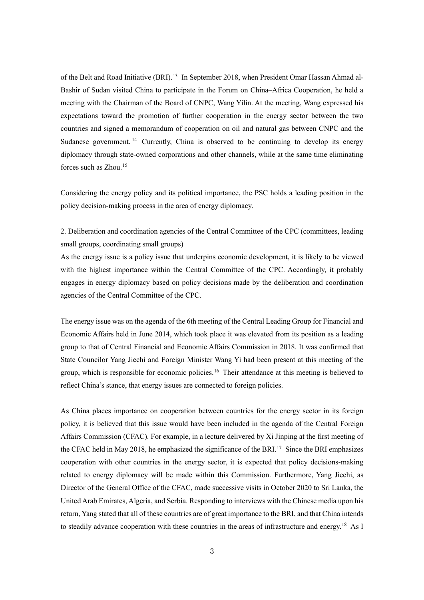of the Belt and Road Initiative (BRI).<sup>[13](#page-9-1)</sup> In September 2018, when President Omar Hassan Ahmad al-Bashir of Sudan visited China to participate in the Forum on China–Africa Cooperation, he held a meeting with the Chairman of the Board of CNPC, Wang Yilin. At the meeting, Wang expressed his expectations toward the promotion of further cooperation in the energy sector between the two countries and signed a memorandum of cooperation on oil and natural gas between CNPC and the Sudanese government. [14](#page-9-2) Currently, China is observed to be continuing to develop its energy diplomacy through state-owned corporations and other channels, while at the same time eliminating forces such as Zhou.[15](#page-9-3)

Considering the energy policy and its political importance, the PSC holds a leading position in the policy decision-making process in the area of energy diplomacy.

2. Deliberation and coordination agencies of the Central Committee of the CPC (committees, leading small groups, coordinating small groups)

As the energy issue is a policy issue that underpins economic development, it is likely to be viewed with the highest importance within the Central Committee of the CPC. Accordingly, it probably engages in energy diplomacy based on policy decisions made by the deliberation and coordination agencies of the Central Committee of the CPC.

The energy issue was on the agenda of the 6th meeting of the Central Leading Group for Financial and Economic Affairs held in June 2014, which took place it was elevated from its position as a leading group to that of Central Financial and Economic Affairs Commission in 2018. It was confirmed that State Councilor Yang Jiechi and Foreign Minister Wang Yi had been present at this meeting of the group, which is responsible for economic policies. [16](#page-9-4) Their attendance at this meeting is believed to reflect China's stance, that energy issues are connected to foreign policies.

As China places importance on cooperation between countries for the energy sector in its foreign policy, it is believed that this issue would have been included in the agenda of the Central Foreign Affairs Commission (CFAC). For example, in a lecture delivered by Xi Jinping at the first meeting of the CFAC held in May 2018, he emphasized the significance of the BRI.<sup>[17](#page-9-5)</sup> Since the BRI emphasizes cooperation with other countries in the energy sector, it is expected that policy decisions-making related to energy diplomacy will be made within this Commission. Furthermore, Yang Jiechi, as Director of the General Office of the CFAC, made successive visits in October 2020 to Sri Lanka, the United Arab Emirates, Algeria, and Serbia. Responding to interviews with the Chinese media upon his return, Yang stated that all of these countries are of great importance to the BRI, and that China intends to steadily advance cooperation with these countries in the areas of infrastructure and energy.<sup>[18](#page-9-6)</sup> As I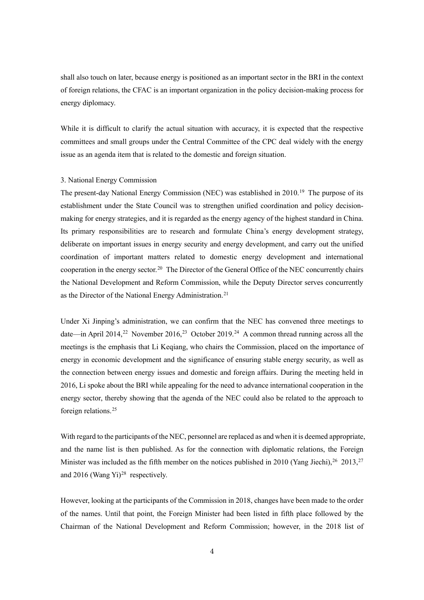shall also touch on later, because energy is positioned as an important sector in the BRI in the context of foreign relations, the CFAC is an important organization in the policy decision-making process for energy diplomacy.

While it is difficult to clarify the actual situation with accuracy, it is expected that the respective committees and small groups under the Central Committee of the CPC deal widely with the energy issue as an agenda item that is related to the domestic and foreign situation.

#### 3. National Energy Commission

The present-day National Energy Commission (NEC) was established in 2010.<sup>[19](#page-9-7)</sup> The purpose of its establishment under the State Council was to strengthen unified coordination and policy decisionmaking for energy strategies, and it is regarded as the energy agency of the highest standard in China. Its primary responsibilities are to research and formulate China's energy development strategy, deliberate on important issues in energy security and energy development, and carry out the unified coordination of important matters related to domestic energy development and international cooperation in the energy sector.<sup>[20](#page-9-8)</sup> The Director of the General Office of the NEC concurrently chairs the National Development and Reform Commission, while the Deputy Director serves concurrently as the Director of the National Energy Administration.<sup>[21](#page-9-9)</sup>

Under Xi Jinping's administration, we can confirm that the NEC has convened three meetings to date—in April 2014,<sup>[22](#page-9-10)</sup> November 2016,<sup>[23](#page-9-11)</sup> October 2019.<sup>[24](#page-9-12)</sup> A common thread running across all the meetings is the emphasis that Li Keqiang, who chairs the Commission, placed on the importance of energy in economic development and the significance of ensuring stable energy security, as well as the connection between energy issues and domestic and foreign affairs. During the meeting held in 2016, Li spoke about the BRI while appealing for the need to advance international cooperation in the energy sector, thereby showing that the agenda of the NEC could also be related to the approach to foreign relations.<sup>[25](#page-9-13)</sup>

With regard to the participants of the NEC, personnel are replaced as and when it is deemed appropriate, and the name list is then published. As for the connection with diplomatic relations, the Foreign Minister was included as the fifth member on the notices published in 2010 (Yang Jiechi),  $26\ 2013$  $26\ 2013$ ,  $27\ 100$  $27\ 100$ and 2016 (Wang Yi)<sup>[28](#page-9-16)</sup> respectively.

However, looking at the participants of the Commission in 2018, changes have been made to the order of the names. Until that point, the Foreign Minister had been listed in fifth place followed by the Chairman of the National Development and Reform Commission; however, in the 2018 list of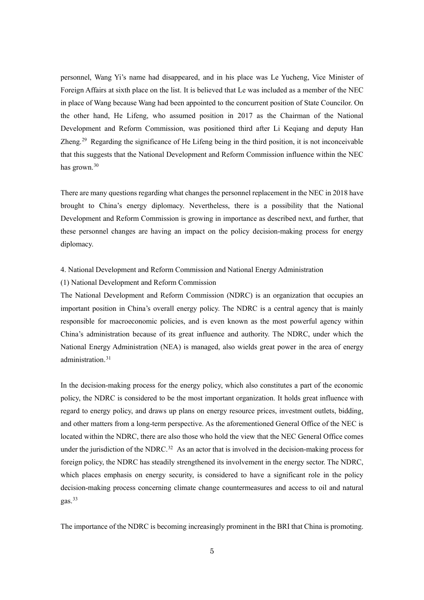personnel, Wang Yi's name had disappeared, and in his place was Le Yucheng, Vice Minister of Foreign Affairs at sixth place on the list. It is believed that Le was included as a member of the NEC in place of Wang because Wang had been appointed to the concurrent position of State Councilor. On the other hand, He Lifeng, who assumed position in 2017 as the Chairman of the National Development and Reform Commission, was positioned third after Li Keqiang and deputy Han Zheng.[29](#page-10-0) Regarding the significance of He Lifeng being in the third position, it is not inconceivable that this suggests that the National Development and Reform Commission influence within the NEC has grown.<sup>[30](#page-10-1)</sup>

There are many questions regarding what changes the personnel replacement in the NEC in 2018 have brought to China's energy diplomacy. Nevertheless, there is a possibility that the National Development and Reform Commission is growing in importance as described next, and further, that these personnel changes are having an impact on the policy decision-making process for energy diplomacy.

# 4. National Development and Reform Commission and National Energy Administration

#### (1) National Development and Reform Commission

The National Development and Reform Commission (NDRC) is an organization that occupies an important position in China's overall energy policy. The NDRC is a central agency that is mainly responsible for macroeconomic policies, and is even known as the most powerful agency within China's administration because of its great influence and authority. The NDRC, under which the National Energy Administration (NEA) is managed, also wields great power in the area of energy administration.<sup>31</sup>

In the decision-making process for the energy policy, which also constitutes a part of the economic policy, the NDRC is considered to be the most important organization. It holds great influence with regard to energy policy, and draws up plans on energy resource prices, investment outlets, bidding, and other matters from a long-term perspective. As the aforementioned General Office of the NEC is located within the NDRC, there are also those who hold the view that the NEC General Office comes under the jurisdiction of the NDRC.<sup>[32](#page-10-3)</sup> As an actor that is involved in the decision-making process for foreign policy, the NDRC has steadily strengthened its involvement in the energy sector. The NDRC, which places emphasis on energy security, is considered to have a significant role in the policy decision-making process concerning climate change countermeasures and access to oil and natural gas.[33](#page-10-4)

The importance of the NDRC is becoming increasingly prominent in the BRI that China is promoting.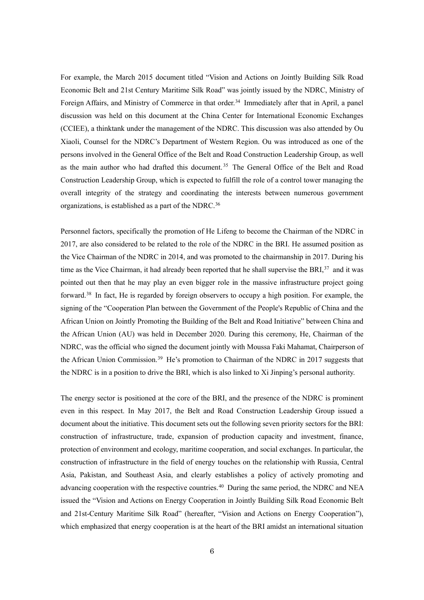For example, the March 2015 document titled "Vision and Actions on Jointly Building Silk Road Economic Belt and 21st Century Maritime Silk Road" was jointly issued by the NDRC, Ministry of Foreign Affairs, and Ministry of Commerce in that order.<sup>34</sup> Immediately after that in April, a panel discussion was held on this document at the China Center for International Economic Exchanges (CCIEE), a thinktank under the management of the NDRC. This discussion was also attended by Ou Xiaoli, Counsel for the NDRC's Department of Western Region. Ou was introduced as one of the persons involved in the General Office of the Belt and Road Construction Leadership Group, as well as the main author who had drafted this document.<sup>35</sup> The General Office of the Belt and Road Construction Leadership Group, which is expected to fulfill the role of a control tower managing the overall integrity of the strategy and coordinating the interests between numerous government organizations, is established as a part of the NDRC.<sup>36</sup>

Personnel factors, specifically the promotion of He Lifeng to become the Chairman of the NDRC in 2017, are also considered to be related to the role of the NDRC in the BRI. He assumed position as the Vice Chairman of the NDRC in 2014, and was promoted to the chairmanship in 2017. During his time as the Vice Chairman, it had already been reported that he shall supervise the BRI,<sup>[37](#page-10-8)</sup> and it was pointed out then that he may play an even bigger role in the massive infrastructure project going forward[.38](#page-10-9) In fact, He is regarded by foreign observers to occupy a high position. For example, the signing of the "Cooperation Plan between the Government of the People's Republic of China and the African Union on Jointly Promoting the Building of the Belt and Road Initiative" between China and the African Union (AU) was held in December 2020. During this ceremony, He, Chairman of the NDRC, was the official who signed the document jointly with Moussa Faki Mahamat, Chairperson of the African Union Commission. [39](#page-10-10) He's promotion to Chairman of the NDRC in 2017 suggests that the NDRC is in a position to drive the BRI, which is also linked to Xi Jinping's personal authority.

The energy sector is positioned at the core of the BRI, and the presence of the NDRC is prominent even in this respect. In May 2017, the Belt and Road Construction Leadership Group issued a document about the initiative. This document sets out the following seven priority sectors for the BRI: construction of infrastructure, trade, expansion of production capacity and investment, finance, protection of environment and ecology, maritime cooperation, and social exchanges. In particular, the construction of infrastructure in the field of energy touches on the relationship with Russia, Central Asia, Pakistan, and Southeast Asia, and clearly establishes a policy of actively promoting and advancing cooperation with the respective countries.<sup>[40](#page-10-11)</sup> During the same period, the NDRC and NEA issued the "Vision and Actions on Energy Cooperation in Jointly Building Silk Road Economic Belt and 21st-Century Maritime Silk Road" (hereafter, "Vision and Actions on Energy Cooperation"), which emphasized that energy cooperation is at the heart of the BRI amidst an international situation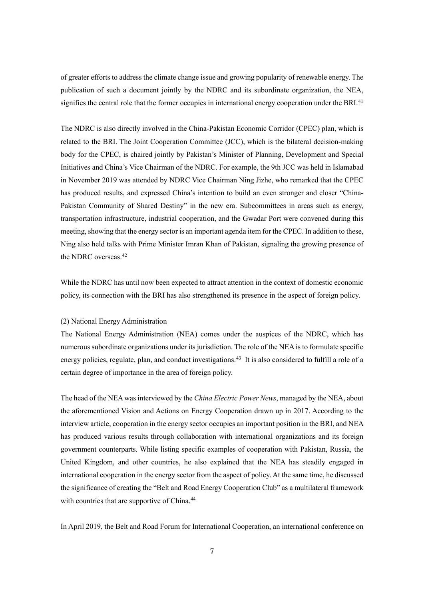of greater efforts to address the climate change issue and growing popularity of renewable energy. The publication of such a document jointly by the NDRC and its subordinate organization, the NEA, signifies the central role that the former occupies in international energy cooperation under the BRI.<sup>[41](#page-10-12)</sup>

The NDRC is also directly involved in the China-Pakistan Economic Corridor (CPEC) plan, which is related to the BRI. The Joint Cooperation Committee (JCC), which is the bilateral decision-making body for the CPEC, is chaired jointly by Pakistan's Minister of Planning, Development and Special Initiatives and China's Vice Chairman of the NDRC. For example, the 9th JCC was held in Islamabad in November 2019 was attended by NDRC Vice Chairman Ning Jizhe, who remarked that the CPEC has produced results, and expressed China's intention to build an even stronger and closer "China-Pakistan Community of Shared Destiny" in the new era. Subcommittees in areas such as energy, transportation infrastructure, industrial cooperation, and the Gwadar Port were convened during this meeting, showing that the energy sector is an important agenda item for the CPEC. In addition to these, Ning also held talks with Prime Minister Imran Khan of Pakistan, signaling the growing presence of the NDRC overseas.<sup>[42](#page-10-13)</sup>

While the NDRC has until now been expected to attract attention in the context of domestic economic policy, its connection with the BRI has also strengthened its presence in the aspect of foreign policy.

#### (2) National Energy Administration

The National Energy Administration (NEA) comes under the auspices of the NDRC, which has numerous subordinate organizations under its jurisdiction. The role of the NEA is to formulate specific energy policies, regulate, plan, and conduct investigations.<sup>[43](#page-10-14)</sup> It is also considered to fulfill a role of a certain degree of importance in the area of foreign policy.

The head of the NEA was interviewed by the *China Electric Power News*, managed by the NEA, about the aforementioned Vision and Actions on Energy Cooperation drawn up in 2017. According to the interview article, cooperation in the energy sector occupies an important position in the BRI, and NEA has produced various results through collaboration with international organizations and its foreign government counterparts. While listing specific examples of cooperation with Pakistan, Russia, the United Kingdom, and other countries, he also explained that the NEA has steadily engaged in international cooperation in the energy sector from the aspect of policy. At the same time, he discussed the significance of creating the "Belt and Road Energy Cooperation Club" as a multilateral framework with countries that are supportive of China.<sup>[44](#page-11-0)</sup>

In April 2019, the Belt and Road Forum for International Cooperation, an international conference on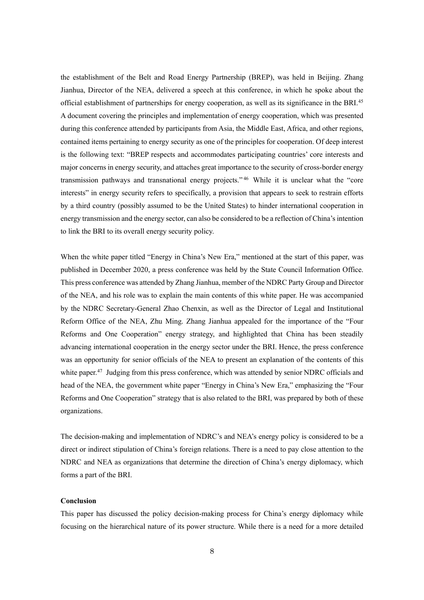the establishment of the Belt and Road Energy Partnership (BREP), was held in Beijing. Zhang Jianhua, Director of the NEA, delivered a speech at this conference, in which he spoke about the official establishment of partnerships for energy cooperation, as well as its significance in the BRI.<sup>[45](#page-11-1)</sup> A document covering the principles and implementation of energy cooperation, which was presented during this conference attended by participants from Asia, the Middle East, Africa, and other regions, contained items pertaining to energy security as one of the principles for cooperation. Of deep interest is the following text: "BREP respects and accommodates participating countries' core interests and major concerns in energy security, and attaches great importance to the security of cross-border energy transmission pathways and transnational energy projects." [46](#page-11-2) While it is unclear what the "core interests" in energy security refers to specifically, a provision that appears to seek to restrain efforts by a third country (possibly assumed to be the United States) to hinder international cooperation in energy transmission and the energy sector, can also be considered to be a reflection of China's intention to link the BRI to its overall energy security policy.

When the white paper titled "Energy in China's New Era," mentioned at the start of this paper, was published in December 2020, a press conference was held by the State Council Information Office. This press conference was attended by Zhang Jianhua, member of the NDRC Party Group and Director of the NEA, and his role was to explain the main contents of this white paper. He was accompanied by the NDRC Secretary-General Zhao Chenxin, as well as the Director of Legal and Institutional Reform Office of the NEA, Zhu Ming. Zhang Jianhua appealed for the importance of the "Four Reforms and One Cooperation" energy strategy, and highlighted that China has been steadily advancing international cooperation in the energy sector under the BRI. Hence, the press conference was an opportunity for senior officials of the NEA to present an explanation of the contents of this white paper.<sup>[47](#page-11-3)</sup> Judging from this press conference, which was attended by senior NDRC officials and head of the NEA, the government white paper "Energy in China's New Era," emphasizing the "Four Reforms and One Cooperation" strategy that is also related to the BRI, was prepared by both of these organizations.

The decision-making and implementation of NDRC's and NEA's energy policy is considered to be a direct or indirect stipulation of China's foreign relations. There is a need to pay close attention to the NDRC and NEA as organizations that determine the direction of China's energy diplomacy, which forms a part of the BRI.

### **Conclusion**

This paper has discussed the policy decision-making process for China's energy diplomacy while focusing on the hierarchical nature of its power structure. While there is a need for a more detailed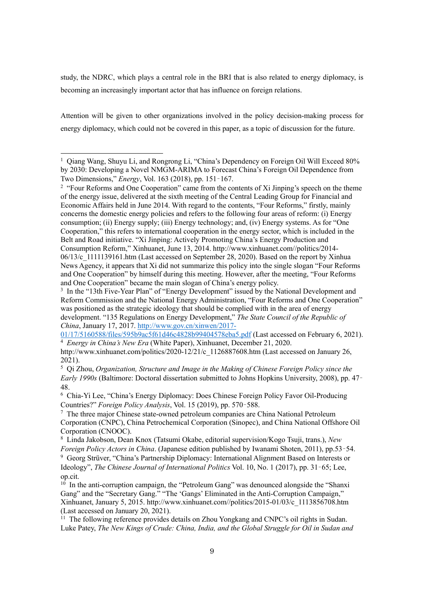study, the NDRC, which plays a central role in the BRI that is also related to energy diplomacy, is becoming an increasingly important actor that has influence on foreign relations.

Attention will be given to other organizations involved in the policy decision-making process for energy diplomacy, which could not be covered in this paper, as a topic of discussion for the future.

<span id="page-8-3"></span>01/17/5160588/files/595b9ac5f61d46c4828b99404578eba5.pdf (Last accessed on February 6, 2021). <sup>4</sup> *Energy in China's New Era* (White Paper), Xinhuanet, December 21, 2020.

<span id="page-8-0"></span><sup>&</sup>lt;sup>1</sup> Qiang Wang, Shuyu Li, and Rongrong Li, "China's Dependency on Foreign Oil Will Exceed 80% by 2030: Developing a Novel NMGM-ARIMA to Forecast China's Foreign Oil Dependence from Two Dimensions," *Energy*, Vol. 163 (2018), pp. 151–167.

<span id="page-8-1"></span><sup>&</sup>lt;sup>2</sup> "Four Reforms and One Cooperation" came from the contents of Xi Jinping's speech on the theme of the energy issue, delivered at the sixth meeting of the Central Leading Group for Financial and Economic Affairs held in June 2014. With regard to the contents, "Four Reforms," firstly, mainly concerns the domestic energy policies and refers to the following four areas of reform: (i) Energy consumption; (ii) Energy supply; (iii) Energy technology; and, (iv) Energy systems. As for "One Cooperation," this refers to international cooperation in the energy sector, which is included in the Belt and Road initiative. "Xi Jinping: Actively Promoting China's Energy Production and Consumption Reform," Xinhuanet, June 13, 2014. http://www.xinhuanet.com//politics/2014- 06/13/c\_1111139161.htm (Last accessed on September 28, 2020). Based on the report by Xinhua News Agency, it appears that Xi did not summarize this policy into the single slogan "Four Reforms and One Cooperation" by himself during this meeting. However, after the meeting, "Four Reforms and One Cooperation" became the main slogan of China's energy policy.

<span id="page-8-2"></span><sup>&</sup>lt;sup>3</sup> In the "13th Five-Year Plan" of "Energy Development" issued by the National Development and Reform Commission and the National Energy Administration, "Four Reforms and One Cooperation" was positioned as the strategic ideology that should be complied with in the area of energy development. "135 Regulations on Energy Development," *The State Council of the Republic of China*, January 17, 2017. http://www.gov.cn/xinwen/2017-

http://www.xinhuanet.com/politics/2020-12/21/c\_1126887608.htm (Last accessed on January 26, 2021).

<span id="page-8-4"></span><sup>5</sup> Qi Zhou, *Organization, Structure and Image in the Making of Chinese Foreign Policy since the Early 1990s* (Baltimore: Doctoral dissertation submitted to Johns Hopkins University, 2008), pp. 47– 48.

<span id="page-8-5"></span><sup>6</sup> Chia-Yi Lee, "China's Energy Diplomacy: Does Chinese Foreign Policy Favor Oil-Producing Countries?" *Foreign Policy Analysis*, Vol. 15 (2019), pp. 570–588.

<span id="page-8-6"></span><sup>7</sup> The three major Chinese state-owned petroleum companies are China National Petroleum Corporation (CNPC), China Petrochemical Corporation (Sinopec), and China National Offshore Oil Corporation (CNOOC).

<span id="page-8-7"></span><sup>8</sup> Linda Jakobson, Dean Knox (Tatsumi Okabe, editorial supervision/Kogo Tsuji, trans.), *New* 

*Foreign Policy Actors in China*. (Japanese edition published by Iwanami Shoten, 2011), pp.53–54.

<span id="page-8-8"></span><sup>9</sup> Georg Strüver, "China's Partnership Diplomacy: International Alignment Based on Interests or Ideology", *The Chinese Journal of International Politics* Vol. 10, No. 1 (2017), pp. 31–65; Lee, op.cit.

<span id="page-8-9"></span> $10$  In the anti-corruption campaign, the "Petroleum Gang" was denounced alongside the "Shanxi Gang" and the "Secretary Gang." "The 'Gangs' Eliminated in the Anti-Corruption Campaign," Xinhuanet, January 5, 2015. http://www.xinhuanet.com//politics/2015-01/03/c\_1113856708.htm (Last accessed on January 20, 2021).

<span id="page-8-10"></span> $11$  The following reference provides details on Zhou Yongkang and CNPC's oil rights in Sudan. Luke Patey, *The New Kings of Crude: China, India, and the Global Struggle for Oil in Sudan and*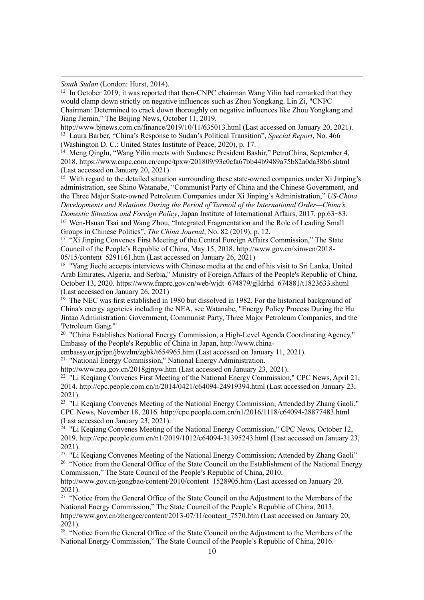*South Sudan* (London: Hurst, 2014).

<span id="page-9-0"></span> $12$  In October 2019, it was reported that then-CNPC chairman Wang Yilin had remarked that they would clamp down strictly on negative influences such as Zhou Yongkang. Lin Zi, "CNPC Chairman: Determined to crack down thoroughly on negative influences like Zhou Yongkang and Jiang Jiemin," The Beijing News, October 11, 2019.

<span id="page-9-1"></span>http://www.bjnews.com.cn/finance/2019/10/11/635013.html (Last accessed on January 20, 2021). <sup>13</sup> Laura Barber, "China's Response to Sudan's Political Transition", *Special Report*, No. 466 (Washington D. C.: United States Institute of Peace, 2020), p. 17.

<span id="page-9-2"></span><sup>14</sup> Meng Qinglu, "Wang Yilin meets with Sudanese President Bashir," PetroChina, September 4, 2018. https://www.cnpc.com.cn/cnpc/tpxw/201809/93c0cfa67bb44b9489a75b82a0da38b6.shtml (Last accessed on January 20, 2021)

<span id="page-9-3"></span> $15$  With regard to the detailed situation surrounding these state-owned companies under Xi Jinping's administration, see Shino Watanabe, "Communist Party of China and the Chinese Government, and the Three Major State-owned Petroleum Companies under Xi Jinping's Administration," *US-China Developments and Relations During the Period of Turmoil of the International Order—China's Domestic Situation and Foreign Policy*, Japan Institute of International Affairs, 2017, pp.63–83.

<span id="page-9-4"></span><sup>16</sup> Wen-Hsuan Tsai and Wang Zhou, "Integrated Fragmentation and the Role of Leading Small Groups in Chinese Politics", *The China Journal*, No. 82 (2019), p. 12.

<span id="page-9-5"></span><sup>17</sup> "Xi Jinping Convenes First Meeting of the Central Foreign Affairs Commission," The State Council of the People's Republic of China, May 15, 2018. http://www.gov.cn/xinwen/2018- 05/15/content 5291161.htm (Last accessed on January 26, 2021)

<span id="page-9-6"></span><sup>18</sup> "Yang Jiechi accepts interviews with Chinese media at the end of his visit to Sri Lanka, United Arab Emirates, Algeria, and Serbia," Ministry of Foreign Affairs of the People's Republic of China, October 13, 2020. https://www.fmprc.gov.cn/web/wjdt\_674879/gjldrhd\_674881/t1823633.shtml (Last accessed on January 26, 2021)

<span id="page-9-7"></span><sup>19</sup> The NEC was first established in 1980 but dissolved in 1982. For the historical background of China's energy agencies including the NEA, see Watanabe, "Energy Policy Process During the Hu Jintao Administration: Government, Communist Party, Three Major Petroleum Companies, and the 'Petroleum Gang.'"

<span id="page-9-8"></span><sup>20</sup> "China Establishes National Energy Commission, a High-Level Agenda Coordinating Agency," Embassy of the People's Republic of China in Japan, http://www.china-

embassy.or.jp/jpn/jbwzlm/zgbk/t654965.htm (Last accessed on January 11, 2021).

<span id="page-9-9"></span><sup>21</sup> "National Energy Commission," National Energy Administration.

http://www.nea.gov.cn/2018gjnyw.htm (Last accessed on January 23, 2021).

<span id="page-9-10"></span><sup>22</sup> "Li Keqiang Convenes First Meeting of the National Energy Commission," CPC News, April 21, 2014. http://cpc.people.com.cn/n/2014/0421/c64094-24919394.html (Last accessed on January 23, 2021).

<span id="page-9-11"></span><sup>23</sup> "Li Keqiang Convenes Meeting of the National Energy Commission; Attended by Zhang Gaoli," CPC News, November 18, 2016. http://cpc.people.com.cn/n1/2016/1118/c64094-28877483.html (Last accessed on January 23, 2021).

<span id="page-9-12"></span> $^{24}$  "Li Keqiang Convenes Meeting of the National Energy Commission," CPC News, October 12, 2019. http://cpc.people.com.cn/n1/2019/1012/c64094-31395243.html (Last accessed on January 23, 2021).

<span id="page-9-14"></span><span id="page-9-13"></span><sup>25</sup> "Li Keqiang Convenes Meeting of the National Energy Commission; Attended by Zhang Gaoli" <sup>26</sup> "Notice from the General Office of the State Council on the Establishment of the National Energy Commission," The State Council of the People's Republic of China, 2010.

http://www.gov.cn/gongbao/content/2010/content 1528905.htm (Last accessed on January 20, 2021).

<span id="page-9-15"></span><sup>27</sup> "Notice from the General Office of the State Council on the Adjustment to the Members of the National Energy Commission," The State Council of the People's Republic of China, 2013. http://www.gov.cn/zhengce/content/2013-07/11/content 7570.htm (Last accessed on January 20, 2021).

<span id="page-9-16"></span><sup>28</sup> "Notice from the General Office of the State Council on the Adjustment to the Members of the National Energy Commission," The State Council of the People's Republic of China, 2016.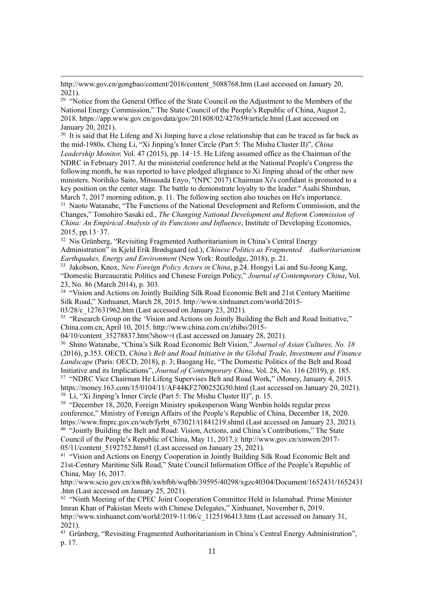http://www.gov.cn/gongbao/content/2016/content\_5088768.htm (Last accessed on January 20,  $2021$ 

<span id="page-10-0"></span><sup>29</sup> "Notice from the General Office of the State Council on the Adjustment to the Members of the National Energy Commission," The State Council of the People's Republic of China, August 2, 2018. https://app.www.gov.cn/govdata/gov/201808/02/427659/article.html (Last accessed on January 20, 2021).

<span id="page-10-1"></span><sup>30</sup> It is said that He Lifeng and Xi Jinping have a close relationship that can be traced as far back as the mid-1980s. Cheng Li, "Xi Jinping's Inner Circle (Part 5: The Mishu Cluster II)", *China Leadership Monitor,* Vol. 47 (2015), pp. 14–15. He Lifeng assumed office as the Chairman of the NDRC in February 2017. At the ministerial conference held at the National People's Congress the following month, he was reported to have pledged allegiance to Xi Jinping ahead of the other new ministers. Norihiko Saito, Mitsusada Enyo, "(NPC 2017) Chairman Xi's confidant is promoted to a key position on the center stage. The battle to demonstrate loyalty to the leader." Asahi Shimbun, March 7, 2017 morning edition, p. 11. The following section also touches on He's importance.

<span id="page-10-2"></span><sup>31</sup> Naoto Watanabe, "The Functions of the National Development and Reform Commission, and the Changes," Tomohiro Sasaki ed., *The Changing National Development and Reform Commission of China: An Empirical Analysis of its Functions and Influence*, Institute of Developing Economies, 2015, pp.13–37.

<span id="page-10-3"></span><sup>32</sup> Nis Grünberg, "Revisiting Fragmented Authoritarianism in China's Central Energy

Administration" in Kjeld Erik Brødsgaard (ed.), *Chinese Politics as Fragmented Authoritarianism Earthquakes, Energy and Environment* (New York: Routledge, 2018), p. 21.

<span id="page-10-4"></span><sup>33</sup> Jakobson, Knox, *New Foreign Policy Actors in China*, p.24. Hongyi Lai and Su-Jeong Kang, "Domestic Bureaucratic Politics and Chinese Foreign Policy," *Journal of Contemporary China*, Vol. 23, No. 86 (March 2014), p. 303.

<span id="page-10-5"></span><sup>34</sup> "Vision and Actions on Jointly Building Silk Road Economic Belt and 21st Century Maritime Silk Road," Xinhuanet, March 28, 2015. http://www.xinhuanet.com/world/2015-

03/28/c\_127631962.htm (Last accessed on January 23, 2021).

<span id="page-10-6"></span><sup>35</sup> "Research Group on the 'Vision and Actions on Jointly Building the Belt and Road Initiative," China.com.cn, April 10, 2015. http://www.china.com.cn/zhibo/2015-

04/10/content 35278837.htm?show=t (Last accessed on January 28, 2021).

<span id="page-10-7"></span><sup>36</sup> Shino Watanabe, "China's Silk Road Economic Belt Vision," *Journal of Asian Cultures, No. 18* (2016), p.353. OECD, *China's Belt and Road Initiative in the Global Trade, Investment and Finance Landscape* (Paris: OECD, 2018), p. 3; Baogang He, "The Domestic Politics of the Belt and Road Initiative and its Implications", *Journal of Contemporary China*, Vol. 28, No. 116 (2019), p. 185. <sup>37</sup> "NDRC Vice Chairman He Lifeng Supervises Belt and Road Work," iMoney, January 4, 2015. https://money.163.com/15/0104/11/AF44KF2700252G50.html (Last accessed on January 20, 2021).

<span id="page-10-9"></span><span id="page-10-8"></span><sup>38</sup> Li, "Xi Jinping's Inner Circle (Part 5: The Mishu Cluster II)", p. 15.

<span id="page-10-10"></span><sup>39</sup> "December 18, 2020, Foreign Ministry spokesperson Wang Wenbin holds regular press conference," Ministry of Foreign Affairs of the People's Republic of China, December 18, 2020. https://www.fmprc.gov.cn/web/fyrbt 673021/t1841219.shtml (Last accessed on January 23, 2021). <sup>40</sup> "Jointly Building the Belt and Road: Vision, Actions, and China's Contributions," The State Council of the People's Republic of China, May 11, 2017.): http://www.gov.cn/xinwen/2017- 05/11/content\_5192752.htm#1 (Last accessed on January 25, 2021).

<span id="page-10-12"></span><span id="page-10-11"></span><sup>41</sup> "Vision and Actions on Energy Cooperation in Jointly Building Silk Road Economic Belt and 21st-Century Maritime Silk Road," State Council Information Office of the People's Republic of China, May 16, 2017.

http://www.scio.gov.cn/xwfbh/xwbfbh/wqfbh/39595/40298/xgzc40304/Document/1652431/1652431 .htm (Last accessed on January 25, 2021).

<span id="page-10-13"></span><sup>42</sup> "Ninth Meeting of the CPEC Joint Cooperation Committee Held in Islamabad. Prime Minister Imran Khan of Pakistan Meets with Chinese Delegates," Xinhuanet, November 6, 2019.

http://www.xinhuanet.com/world/2019-11/06/c\_1125196413.htm (Last accessed on January 31, 2021).

<span id="page-10-14"></span><sup>43</sup> Grünberg, "Revisiting Fragmented Authoritarianism in China's Central Energy Administration", p. 17.